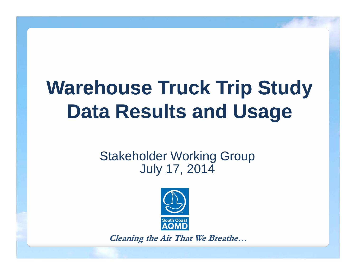# **Warehouse Truck Trip Study Data Results and Usage**

#### Stakeholder Working Group July 17, 2014



**Cleaning the Air That We Breathe…**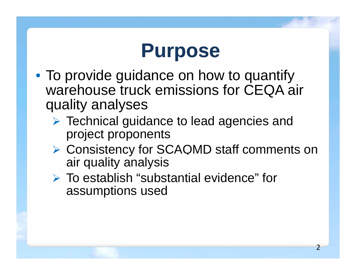

- To provide guidance on how to quantify warehouse truck emissions for CEQA air quality analyses
	- **▶ Technical guidance to lead agencies and** project proponents
	- **▶ Consistency for SCAQMD staff comments on** air quality analysis
	- $\triangleright$  To establish "substantial evidence" for assumptions used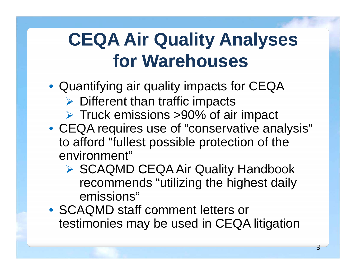# **CEQA Air Quality Analyses for Warehouses**

- Quantifying air quality impacts for CEQA
	- $\triangleright$  Different than traffic impacts
	- **▶ Truck emissions >90% of air impact**
- CEQA requires use of "conservative analysis" to afford "fullest possible protection of the environment "
	- ▶ SCAQMD CEQA Air Quality Handbook recommends "utilizing the highest daily emissions"
- SCAQMD staff comment letters or testimonies may be used in CEQA litigation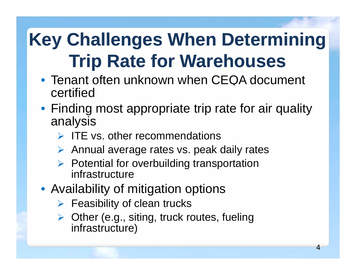# **Key Challenges When Determining Trip Rate for Warehouses**

- Tenant often unknown when CEQA document certified
- Finding most appropriate trip rate for air quality analysis
	- $\triangleright$  ITE vs. other recommendations
	- ▶ Annual average rates vs. peak daily rates
	- $\triangleright$  Potential for overbuilding transportation infrastructure
- Availability of mitigation options
	- $\triangleright$  Feasibility of clean trucks
	- **▶ Other (e.g., siting, truck routes, fueling** infrastructure)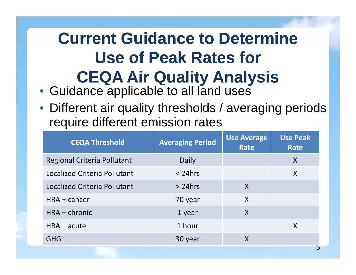### **Current Guidance to Determine Use of Peak Rates for CEQA Air Qualit y Anal ysis y y**

- Guidance applicable to all land uses
- Different air quality thresholds / averaging periods require different emission rates

| <b>CEQA Threshold</b>               | <b>Averaging Period</b> | <b>Use Average</b><br><b>Rate</b> | <b>Use Peak</b><br><b>Rate</b> |
|-------------------------------------|-------------------------|-----------------------------------|--------------------------------|
| <b>Regional Criteria Pollutant</b>  | Daily                   |                                   | X                              |
| Localized Criteria Pollutant        | $<$ 24hrs               |                                   | X                              |
| <b>Localized Criteria Pollutant</b> | $> 24$ hrs              | X                                 |                                |
| $HRA - cancer$                      | 70 year                 | X                                 |                                |
| HRA - chronic                       | 1 year                  | X                                 |                                |
| $HRA - acute$                       | 1 hour                  |                                   | X                              |
| <b>GHG</b>                          | 30 year                 | $\boldsymbol{\mathsf{X}}$         |                                |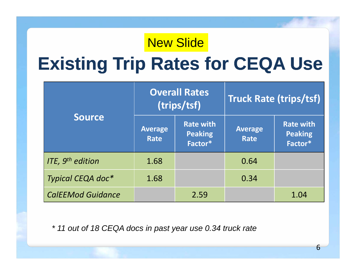#### New Slide

### **Existing Trip Rates for CEQA Use**

|                              |                        | <b>Overall Rates</b><br>(trips/tsf)           | <b>Truck Rate (trips/tsf)</b> |                                               |  |
|------------------------------|------------------------|-----------------------------------------------|-------------------------------|-----------------------------------------------|--|
| <b>Source</b>                | <b>Average</b><br>Rate | <b>Rate with</b><br><b>Peaking</b><br>Factor* | <b>Average</b><br>Rate        | <b>Rate with</b><br><b>Peaking</b><br>Factor* |  |
| ITE, 9 <sup>th</sup> edition | 1.68                   |                                               | 0.64                          |                                               |  |
| Typical CEQA doc*            | 1.68                   |                                               | 0.34                          |                                               |  |
| <b>CalEEMod Guidance</b>     |                        | 2.59                                          |                               | 1.04                                          |  |

*\* 11 out of 18 CEQA docs in past year use 0.34 truck rate*

6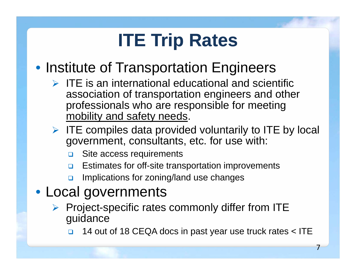# **ITE Trip Rates**

### • Institute of Transportation Engineers

- $\triangleright$  ITE is an international educational and scientific association of transportation engineers and other professionals who are responsible for meeting mobility and safety needs.
- $\triangleright$  ITE compiles data provided voluntarily to ITE by local government, consultants, etc. for use with:
	- $\Box$ Site access requirements
	- $\Box$ Estimates for off-site transportation improvements
	- $\Box$ Implications for zoning/land use changes
- Local governments
	- $\triangleright$  Project-specific rates commonly differ from ITE guidance

 $\Box$ 14 out of 18 CEQA docs in past year use truck rates < ITE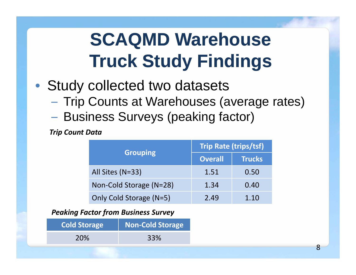# **SCAQMD Warehouse Truck Study Findings**

- • Study collected two datasets
	- –– Trip Counts at Warehouses (average rates)
	- –– Business Surveys (peaking factor)

*Trip Count Data*

|                         | <b>Trip Rate (trips/tsf)</b> |               |  |
|-------------------------|------------------------------|---------------|--|
| <b>Grouping</b>         | <b>Overall</b>               | <b>Trucks</b> |  |
| All Sites (N=33)        | 1.51                         | 0.50          |  |
| Non-Cold Storage (N=28) | 1.34                         | 0.40          |  |
| Only Cold Storage (N=5) | 2.49                         | 1.10          |  |

*Peaking Factor from Business Survey*

| <b>Cold Storage</b> | <b>Non-Cold Storage</b> |
|---------------------|-------------------------|
| <b>20%</b>          | 33%                     |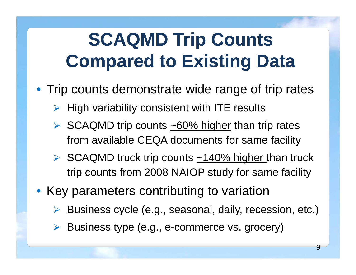## **SCAQMD Trip Counts Compared to Existing Data**

- Trip counts demonstrate wide range of trip rates
	- $\triangleright$  High variability consistent with ITE results
	- $\triangleright$  SCAQMD trip counts  $\sim$  60% higher than trip rates from available CEQA documents for same facility
	- $\triangleright$  SCAQMD truck trip counts  $\sim$ 140% higher than truck trip counts from 2008 NAIOP study for same facility
- Key parameters contributing to variation
	- Business cycle (e.g., seasonal, daily, recession, etc.)
	- > Business type (e.g., e-commerce vs. grocery)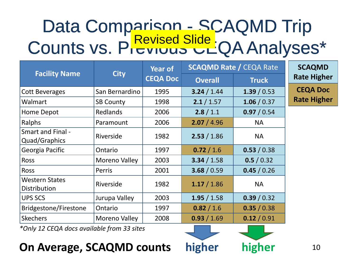#### Data Comparison - SCAQMD Trip Counts vs. Previous CLQA Analyses\* S VS. PICYIUUS CLQA Analyses

|                                              |                      | <b>Year of</b>  | <b>SCAQMD Rate / CEQA Rate</b> |              |  |
|----------------------------------------------|----------------------|-----------------|--------------------------------|--------------|--|
| <b>Facility Name</b>                         | <b>City</b>          | <b>CEQA Doc</b> | <b>Overall</b>                 | <b>Truck</b> |  |
| <b>Cott Beverages</b>                        | San Bernardino       | 1995            | 3.24 / 1.44                    | 1.39/0.53    |  |
| Walmart                                      | <b>SB County</b>     | 1998            | 2.1 / 1.57                     | 1.06 / 0.37  |  |
| Home Depot                                   | <b>Redlands</b>      | 2006            | 2.8 / 1.1                      | 0.97 / 0.54  |  |
| Ralphs                                       | Paramount            | 2006            | 2.07 / 4.96                    | <b>NA</b>    |  |
| Smart and Final -<br>Quad/Graphics           | Riverside            | 1982            | 2.53 / 1.86                    | <b>NA</b>    |  |
| Georgia Pacific                              | Ontario              | 1997            | 0.72 / 1.6                     | 0.53 / 0.38  |  |
| <b>Ross</b>                                  | Moreno Valley        | 2003            | 3.34 / 1.58                    | 0.5 / 0.32   |  |
| <b>Ross</b>                                  | Perris               | 2001            | 3.68 / 0.59                    | 0.45 / 0.26  |  |
| <b>Western States</b><br><b>Distribution</b> | Riverside            | 1982            | 1.17 / 1.86                    | <b>NA</b>    |  |
| <b>UPS SCS</b>                               | Jurupa Valley        | 2003            | 1.95 / 1.58                    | 0.39 / 0.32  |  |
| <b>Bridgestone/Firestone</b>                 | Ontario              | 1997            | 0.82 / 1.6                     | 0.35 / 0.38  |  |
| <b>Skechers</b>                              | <b>Moreno Valley</b> | 2008            | 0.93 / 1.69                    | 0.12 / 0.91  |  |

**SCAQMD Rate Higher CEQA Doc Rate Higher**

*\*Only 12 CEQA docs available from 33 sites*

#### **On Average, SCAQMD counts higher higher** <sup>10</sup>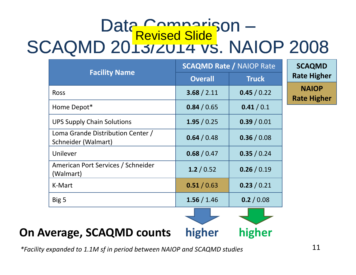# Data Comparison SCAQMD 2013/2014 VS. NAIOP 2008

|                                                          | <b>SCAQMD Rate / NAIOP Rate</b> |              |  |
|----------------------------------------------------------|---------------------------------|--------------|--|
| <b>Facility Name</b>                                     | <b>Overall</b>                  | <b>Truck</b> |  |
| <b>Ross</b>                                              | 3.68 / 2.11                     | 0.45 / 0.22  |  |
| Home Depot*                                              | 0.84 / 0.65                     | 0.41/0.1     |  |
| <b>UPS Supply Chain Solutions</b>                        | 1.95/0.25                       | 0.39/0.01    |  |
| Loma Grande Distribution Center /<br>Schneider (Walmart) | 0.64 / 0.48                     | 0.36 / 0.08  |  |
| Unilever                                                 | 0.68 / 0.47                     | 0.35 / 0.24  |  |
| American Port Services / Schneider<br>(Walmart)          | 1.2 / 0.52                      | 0.26 / 0.19  |  |
| K-Mart                                                   | 0.51/0.63                       | 0.23 / 0.21  |  |
| Big 5                                                    | 1.56 / 1.46                     | 0.2 / 0.08   |  |
|                                                          |                                 |              |  |

**SCAQMD Rate Higher NAIOPRate Higher**

**On Average, SCAQMD counts higher higher**

*\*Facility expanded to 1.1M sf in period between NAIOP and SCAQMD studies*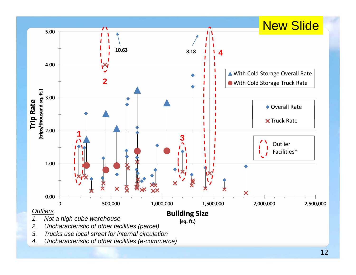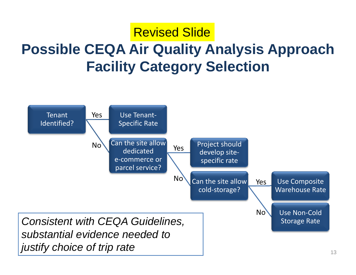### **Possible CEQA Air Quality Analysis Approach Quality** Revised Slide**Facility Category Selection**

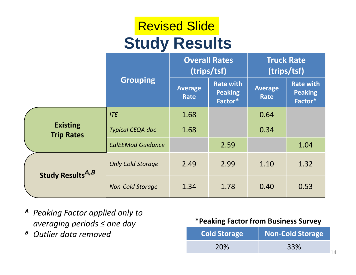### **Study Results** Revised Slide

|  |                                      |                          | <b>Overall Rates</b><br>(trips/tsf) |                                               | <b>Truck Rate</b><br>(trips/tsf) |                                               |
|--|--------------------------------------|--------------------------|-------------------------------------|-----------------------------------------------|----------------------------------|-----------------------------------------------|
|  |                                      | <b>Grouping</b>          | <b>Average</b><br>Rate              | <b>Rate with</b><br><b>Peaking</b><br>Factor* | <b>Average</b><br>Rate           | <b>Rate with</b><br><b>Peaking</b><br>Factor* |
|  | <b>Existing</b><br><b>Trip Rates</b> | <b>ITE</b>               | 1.68                                |                                               | 0.64                             |                                               |
|  |                                      | <b>Typical CEQA doc</b>  | 1.68                                |                                               | 0.34                             |                                               |
|  |                                      | <b>CalEEMod Guidance</b> |                                     | 2.59                                          |                                  | 1.04                                          |
|  | <b>Study Results</b> A,B             | <b>Only Cold Storage</b> | 2.49                                | 2.99                                          | 1.10                             | 1.32                                          |
|  |                                      | <b>Non-Cold Storage</b>  | 1.34                                | 1.78                                          | 0.40                             | 0.53                                          |

- *A Peaking Factor applied only to averaging periods <sup>≤</sup> one day*
- *B Outlier data removed*

#### **\*Peaking Factor from Business Survey gy**

| <b>Cold Storage</b> | Non-Cold Storage |  |  |
|---------------------|------------------|--|--|
| 20%                 | 33%              |  |  |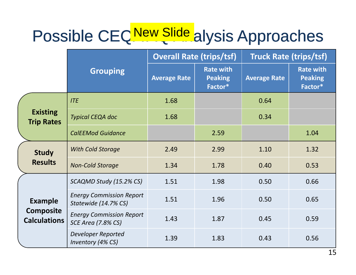# Possible CEQ New Slide alysis Approaches

|                                         |                                                              | <b>Overall Rate (trips/tsf)</b> |                                               | <b>Truck Rate (trips/tsf)</b> |                                               |
|-----------------------------------------|--------------------------------------------------------------|---------------------------------|-----------------------------------------------|-------------------------------|-----------------------------------------------|
|                                         | <b>Grouping</b>                                              | <b>Average Rate</b>             | <b>Rate with</b><br><b>Peaking</b><br>Factor* | <b>Average Rate</b>           | <b>Rate with</b><br><b>Peaking</b><br>Factor* |
|                                         | <b>ITE</b>                                                   | 1.68                            |                                               | 0.64                          |                                               |
| <b>Existing</b><br><b>Trip Rates</b>    | <b>Typical CEQA doc</b>                                      | 1.68                            |                                               | 0.34                          |                                               |
|                                         | <b>CalEEMod Guidance</b>                                     |                                 | 2.59                                          |                               | 1.04                                          |
| <b>Study</b>                            | <b>With Cold Storage</b>                                     | 2.49                            | 2.99                                          | 1.10                          | 1.32                                          |
| <b>Results</b>                          | <b>Non-Cold Storage</b>                                      | 1.34                            | 1.78                                          | 0.40                          | 0.53                                          |
|                                         | SCAQMD Study (15.2% CS)                                      | 1.51                            | 1.98                                          | 0.50                          | 0.66                                          |
| <b>Example</b>                          | <b>Energy Commission Report</b><br>Statewide (14.7% CS)      | 1.51                            | 1.96                                          | 0.50                          | 0.65                                          |
| <b>Composite</b><br><b>Calculations</b> | <b>Energy Commission Report</b><br><b>SCE Area (7.8% CS)</b> | 1.43                            | 1.87                                          | 0.45                          | 0.59                                          |
|                                         | <b>Developer Reported</b><br>Inventory (4% CS)               | 1.39                            | 1.83                                          | 0.43                          | 0.56                                          |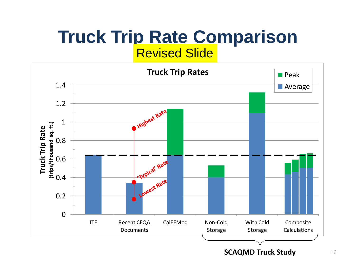#### **Truck Trip Rate Comparison** Revised Slide

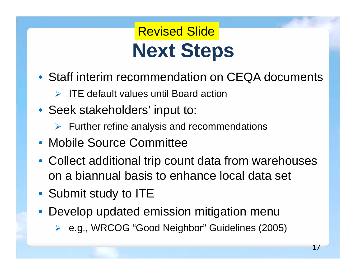### **Next Steps** Revised Slide

- Staff interim recommendation on CEQA documents
	- $\triangleright$  ITE default values until Board action
- Seek stakeholders' input to:
	- $\triangleright$  Further refine analysis and recommendations
- Mobile Source Committee
- Collect additional trip count data from warehouses on a biannual basis to enhance local data set
- Submit study to ITE
- Develop updated emission mitigation menu
	- e.g., WRCOG "Good Neighbor" Guidelines (2005)